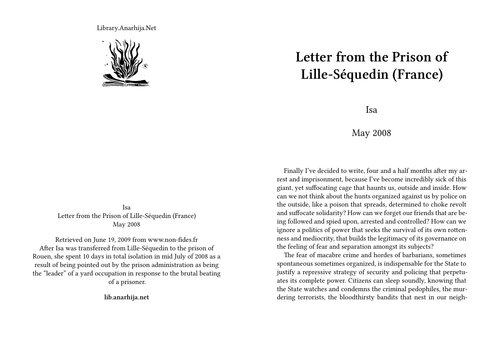Library.Anarhija.Net



Isa Letter from the Prison of Lille-Séquedin (France) May 2008

Retrieved on June 19, 2009 from www.non-fides.fr After Isa was transferred from Lille-Séquedin to the prison of Rouen, she spent 10 days in total isolation in mid July of 2008 as a result of being pointed out by the prison administration as being the "leader" of a yard occupation in response to the brutal beating of a prisoner.

**lib.anarhija.net**

## **Letter from the Prison of Lille-Séquedin (France)**

Isa

## May 2008

Finally I've decided to write, four and a half months after my arrest and imprisonment, because I've become incredibly sick of this giant, yet suffocating cage that haunts us, outside and inside. How can we not think about the hunts organized against us by police on the outside, like a poison that spreads, determined to choke revolt and suffocate solidarity? How can we forget our friends that are being followed and spied upon, arrested and controlled? How can we ignore a politics of power that seeks the survival of its own rottenness and mediocrity, that builds the legitimacy of its governance on the feeling of fear and separation amongst its subjects?

The fear of macabre crime and hordes of barbarians, sometimes spontaneous sometimes organized, is indispensable for the State to justify a repressive strategy of security and policing that perpetuates its complete power. Citizens can sleep soundly, knowing that the State watches and condemns the criminal pedophiles, the murdering terrorists, the bloodthirsty bandits that nest in our neigh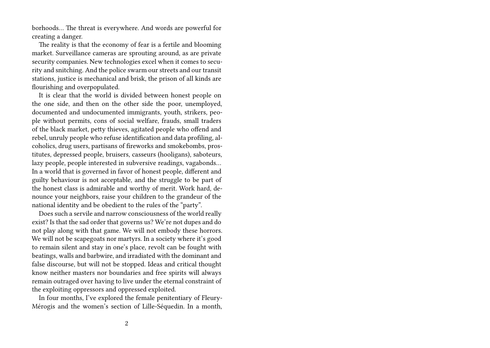borhoods… The threat is everywhere. And words are powerful for creating a danger.

The reality is that the economy of fear is a fertile and blooming market. Surveillance cameras are sprouting around, as are private security companies. New technologies excel when it comes to security and snitching. And the police swarm our streets and our transit stations, justice is mechanical and brisk, the prison of all kinds are flourishing and overpopulated.

It is clear that the world is divided between honest people on the one side, and then on the other side the poor, unemployed, documented and undocumented immigrants, youth, strikers, people without permits, cons of social welfare, frauds, small traders of the black market, petty thieves, agitated people who offend and rebel, unruly people who refuse identification and data profiling, alcoholics, drug users, partisans of fireworks and smokebombs, prostitutes, depressed people, bruisers, casseurs (hooligans), saboteurs, lazy people, people interested in subversive readings, vagabonds… In a world that is governed in favor of honest people, different and guilty behaviour is not acceptable, and the struggle to be part of the honest class is admirable and worthy of merit. Work hard, denounce your neighbors, raise your children to the grandeur of the national identity and be obedient to the rules of the "party".

Does such a servile and narrow consciousness of the world really exist? Is that the sad order that governs us? We're not dupes and do not play along with that game. We will not embody these horrors. We will not be scapegoats nor martyrs. In a society where it's good to remain silent and stay in one's place, revolt can be fought with beatings, walls and barbwire, and irradiated with the dominant and false discourse, but will not be stopped. Ideas and critical thought know neither masters nor boundaries and free spirits will always remain outraged over having to live under the eternal constraint of the exploiting oppressors and oppressed exploited.

In four months, I've explored the female penitentiary of Fleury-Mérogis and the women's section of Lille-Séquedin. In a month,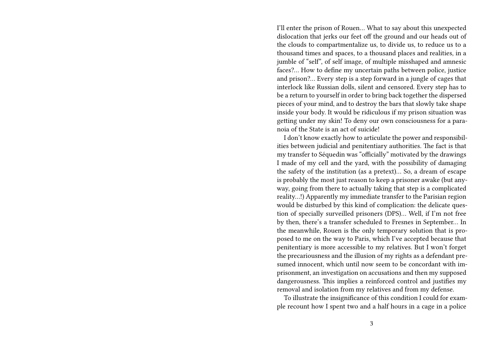I'll enter the prison of Rouen… What to say about this unexpected dislocation that jerks our feet off the ground and our heads out of the clouds to compartmentalize us, to divide us, to reduce us to a thousand times and spaces, to a thousand places and realities, in a jumble of "self", of self image, of multiple misshaped and amnesic faces?… How to define my uncertain paths between police, justice and prison?… Every step is a step forward in a jungle of cages that interlock like Russian dolls, silent and censored. Every step has to be a return to yourself in order to bring back together the dispersed pieces of your mind, and to destroy the bars that slowly take shape inside your body. It would be ridiculous if my prison situation was getting under my skin! To deny our own consciousness for a paranoia of the State is an act of suicide!

I don't know exactly how to articulate the power and responsibilities between judicial and penitentiary authorities. The fact is that my transfer to Séquedin was "officially" motivated by the drawings I made of my cell and the yard, with the possibility of damaging the safety of the institution (as a pretext)… So, a dream of escape is probably the most just reason to keep a prisoner awake (but anyway, going from there to actually taking that step is a complicated reality…!) Apparently my immediate transfer to the Parisian region would be disturbed by this kind of complication: the delicate question of specially surveilled prisoners (DPS)… Well, if I'm not free by then, there's a transfer scheduled to Fresnes in September… In the meanwhile, Rouen is the only temporary solution that is proposed to me on the way to Paris, which I've accepted because that penitentiary is more accessible to my relatives. But I won't forget the precariousness and the illusion of my rights as a defendant presumed innocent, which until now seem to be concordant with imprisonment, an investigation on accusations and then my supposed dangerousness. This implies a reinforced control and justifies my removal and isolation from my relatives and from my defense.

To illustrate the insignificance of this condition I could for example recount how I spent two and a half hours in a cage in a police